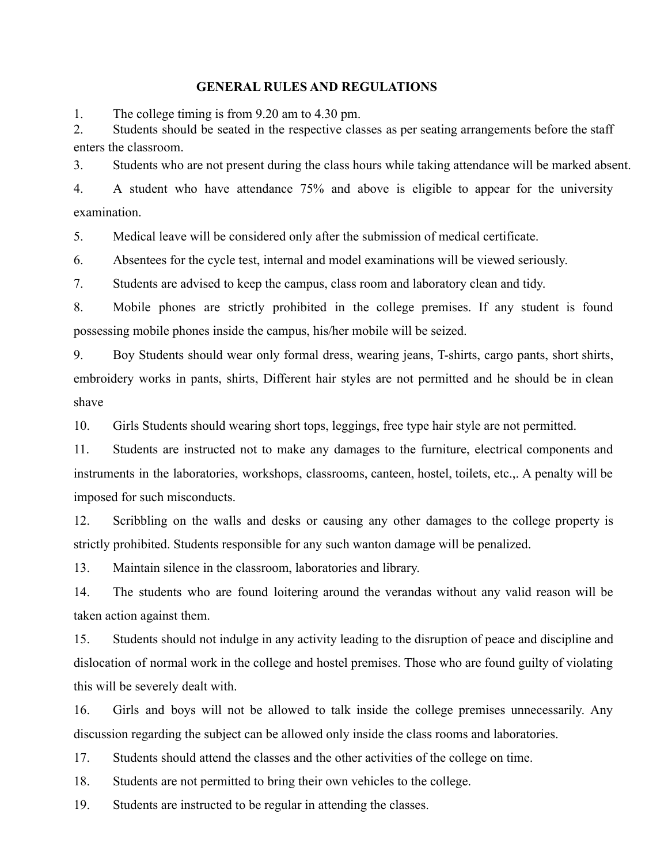#### **GENERAL RULES AND REGULATIONS**

1. The college timing is from 9.20 am to 4.30 pm.

2. Students should be seated in the respective classes as per seating arrangements before the staff enters the classroom.

3. Students who are not present during the class hours while taking attendance will be marked absent.

4. A student who have attendance 75% and above is eligible to appear for the university examination.

5. Medical leave will be considered only after the submission of medical certificate.

6. Absentees for the cycle test, internal and model examinations will be viewed seriously.

7. Students are advised to keep the campus, class room and laboratory clean and tidy.

8. Mobile phones are strictly prohibited in the college premises. If any student is found possessing mobile phones inside the campus, his/her mobile will be seized.

9. Boy Students should wear only formal dress, wearing jeans, T-shirts, cargo pants, short shirts, embroidery works in pants, shirts, Different hair styles are not permitted and he should be in clean shave

10. Girls Students should wearing short tops, leggings, free type hair style are not permitted.

11. Students are instructed not to make any damages to the furniture, electrical components and instruments in the laboratories, workshops, classrooms, canteen, hostel, toilets, etc.,. A penalty will be imposed for such misconducts.

12. Scribbling on the walls and desks or causing any other damages to the college property is strictly prohibited. Students responsible for any such wanton damage will be penalized.

13. Maintain silence in the classroom, laboratories and library.

14. The students who are found loitering around the verandas without any valid reason will be taken action against them.

15. Students should not indulge in any activity leading to the disruption of peace and discipline and dislocation of normal work in the college and hostel premises. Those who are found guilty of violating this will be severely dealt with.

16. Girls and boys will not be allowed to talk inside the college premises unnecessarily. Any discussion regarding the subject can be allowed only inside the class rooms and laboratories.

17. Students should attend the classes and the other activities of the college on time.

18. Students are not permitted to bring their own vehicles to the college.

19. Students are instructed to be regular in attending the classes.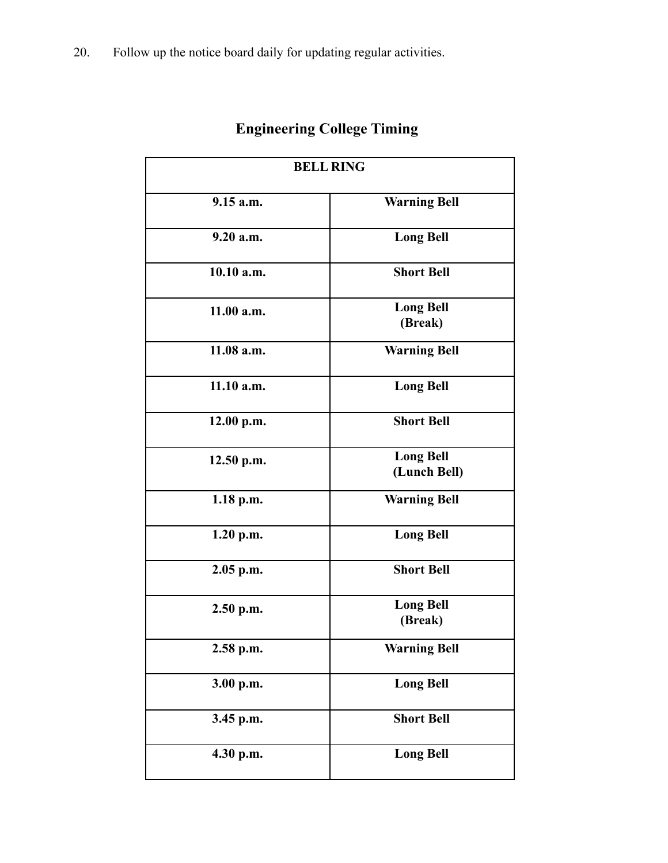| <b>BELL RING</b> |                                  |  |
|------------------|----------------------------------|--|
| 9.15 a.m.        | <b>Warning Bell</b>              |  |
| 9.20 a.m.        | <b>Long Bell</b>                 |  |
| 10.10 a.m.       | <b>Short Bell</b>                |  |
| 11.00 a.m.       | <b>Long Bell</b><br>(Break)      |  |
| 11.08 a.m.       | <b>Warning Bell</b>              |  |
| 11.10 a.m.       | <b>Long Bell</b>                 |  |
| 12.00 p.m.       | <b>Short Bell</b>                |  |
| 12.50 p.m.       | <b>Long Bell</b><br>(Lunch Bell) |  |
| $1.18$ p.m.      | <b>Warning Bell</b>              |  |
| 1.20 p.m.        | <b>Long Bell</b>                 |  |
| $2.05$ p.m.      | <b>Short Bell</b>                |  |
| $2.50$ p.m.      | <b>Long Bell</b><br>(Break)      |  |
| 2.58 p.m.        | <b>Warning Bell</b>              |  |
| 3.00 p.m.        | <b>Long Bell</b>                 |  |
| 3.45 p.m.        | <b>Short Bell</b>                |  |
| 4.30 p.m.        | <b>Long Bell</b>                 |  |

# **Engineering College Timing**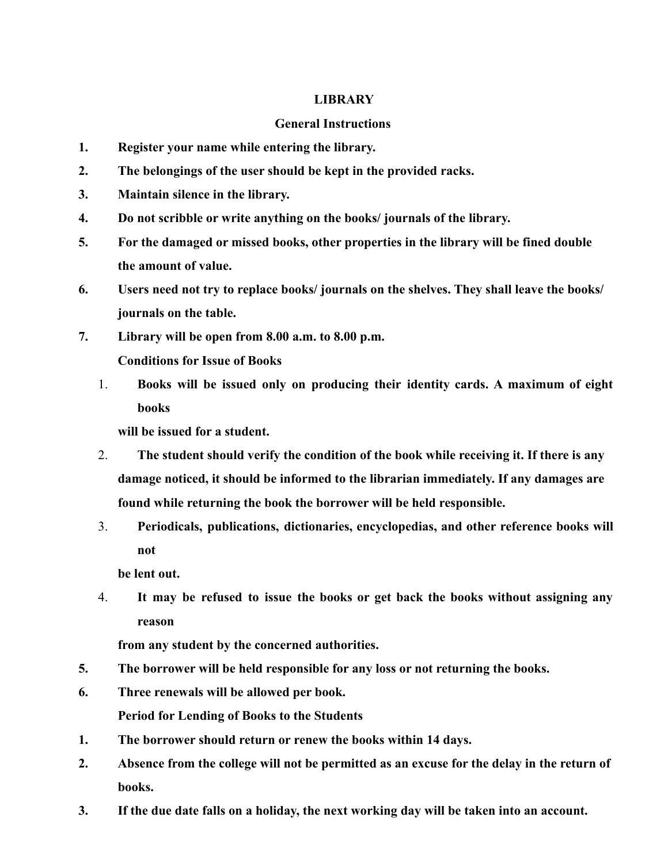## **LIBRARY**

# **General Instructions**

- **1. Register your name while entering the library.**
- **2. The belongings of the user should be kept in the provided racks.**
- **3. Maintain silence in the library.**
- **4. Do not scribble or write anything on the books/ journals of the library.**
- **5. For the damaged or missed books, other properties in the library will be fined double the amount of value.**
- **6. Users need not try to replace books/ journals on the shelves. They shall leave the books/ journals on the table.**
- **7. Library will be open from 8.00 a.m. to 8.00 p.m. Conditions for Issue of Books**
	- 1. **Books will be issued only on producing their identity cards. A maximum of eight books**

**will be issued for a student.**

- 2. **The student should verify the condition of the book while receiving it. If there is any damage noticed, it should be informed to the librarian immediately. If any damages are found while returning the book the borrower will be held responsible.**
- 3. **Periodicals, publications, dictionaries, encyclopedias, and other reference books will not**

**be lent out.**

4. **It may be refused to issue the books or get back the books without assigning any reason**

**from any student by the concerned authorities.**

- **5. The borrower will be held responsible for any loss or not returning the books.**
- **6. Three renewals will be allowed per book. Period for Lending of Books to the Students**
- **1. The borrower should return or renew the books within 14 days.**
- **2. Absence from the college will not be permitted as an excuse for the delay in the return of books.**
- **3. If the due date falls on a holiday, the next working day will be taken into an account.**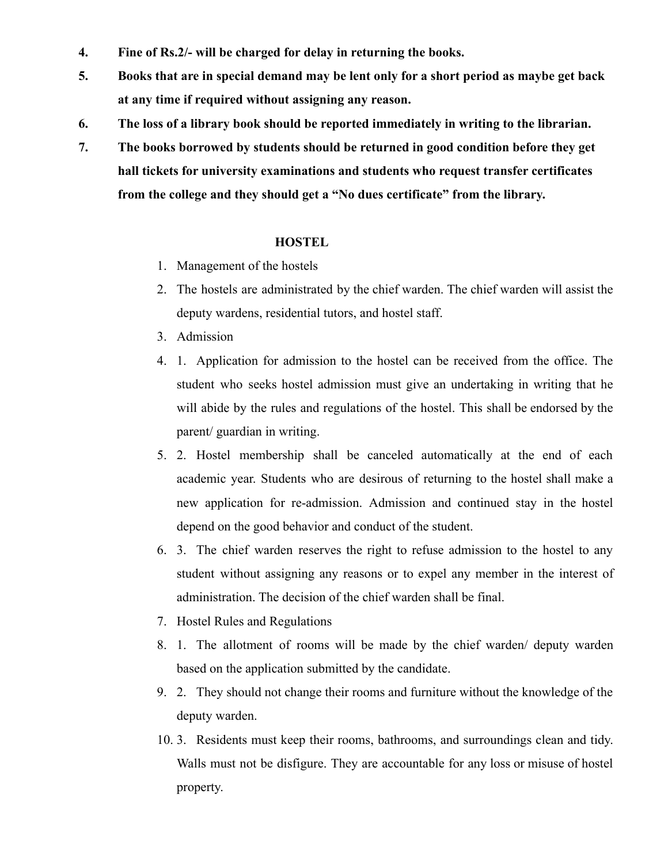- **4. Fine of Rs.2/- will be charged for delay in returning the books.**
- **5. Books that are in special demand may be lent only for a short period as maybe get back at any time if required without assigning any reason.**
- **6. The loss of a library book should be reported immediately in writing to the librarian.**
- **7. The books borrowed by students should be returned in good condition before they get hall tickets for university examinations and students who request transfer certificates from the college and they should get a "No dues certificate" from the library.**

## **HOSTEL**

- 1. Management of the hostels
- 2. The hostels are administrated by the chief warden. The chief warden will assist the deputy wardens, residential tutors, and hostel staff.
- 3. Admission
- 4. 1. Application for admission to the hostel can be received from the office. The student who seeks hostel admission must give an undertaking in writing that he will abide by the rules and regulations of the hostel. This shall be endorsed by the parent/ guardian in writing.
- 5. 2. Hostel membership shall be canceled automatically at the end of each academic year. Students who are desirous of returning to the hostel shall make a new application for re-admission. Admission and continued stay in the hostel depend on the good behavior and conduct of the student.
- 6. 3. The chief warden reserves the right to refuse admission to the hostel to any student without assigning any reasons or to expel any member in the interest of administration. The decision of the chief warden shall be final.
- 7. Hostel Rules and Regulations
- 8. 1. The allotment of rooms will be made by the chief warden/ deputy warden based on the application submitted by the candidate.
- 9. 2. They should not change their rooms and furniture without the knowledge of the deputy warden.
- 10. 3. Residents must keep their rooms, bathrooms, and surroundings clean and tidy. Walls must not be disfigure. They are accountable for any loss or misuse of hostel property.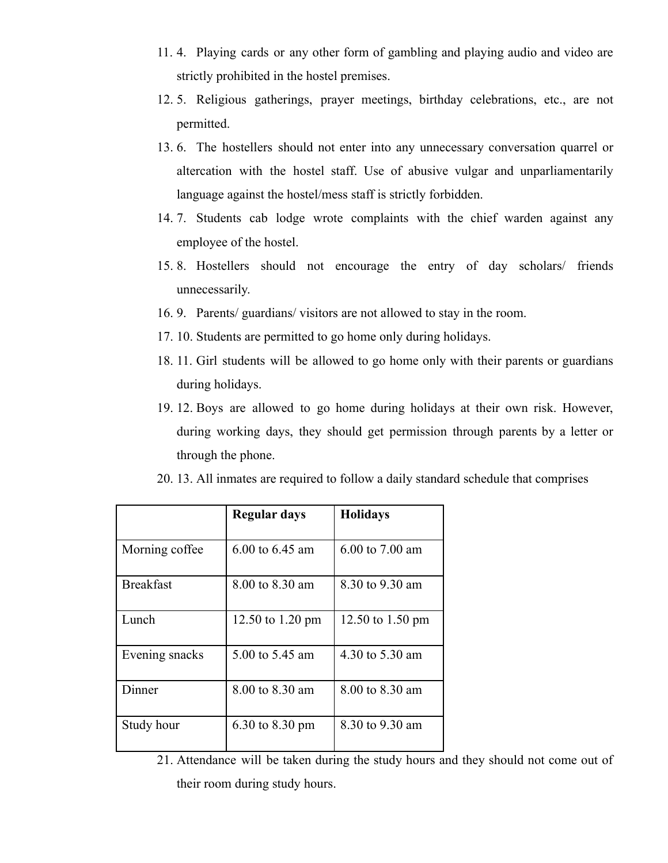- 11. 4. Playing cards or any other form of gambling and playing audio and video are strictly prohibited in the hostel premises.
- 12. 5. Religious gatherings, prayer meetings, birthday celebrations, etc., are not permitted.
- 13. 6. The hostellers should not enter into any unnecessary conversation quarrel or altercation with the hostel staff. Use of abusive vulgar and unparliamentarily language against the hostel/mess staff is strictly forbidden.
- 14. 7. Students cab lodge wrote complaints with the chief warden against any employee of the hostel.
- 15. 8. Hostellers should not encourage the entry of day scholars/ friends unnecessarily.
- 16. 9. Parents/ guardians/ visitors are not allowed to stay in the room.
- 17. 10. Students are permitted to go home only during holidays.
- 18. 11. Girl students will be allowed to go home only with their parents or guardians during holidays.
- 19. 12. Boys are allowed to go home during holidays at their own risk. However, during working days, they should get permission through parents by a letter or through the phone.
- 20. 13. All inmates are required to follow a daily standard schedule that comprises

|                  | Regular days     | <b>Holidays</b>  |
|------------------|------------------|------------------|
| Morning coffee.  | 6.00 to 6.45 am  | 6.00 to 7.00 am  |
| <b>Breakfast</b> | 8.00 to 8.30 am  | 8.30 to 9.30 am  |
| Lunch            | 12.50 to 1.20 pm | 12.50 to 1.50 pm |
| Evening snacks   | 5.00 to 5.45 am  | 4.30 to 5.30 am  |
| Dinner           | 8.00 to 8.30 am  | 8.00 to 8.30 am  |
| Study hour       | 6.30 to 8.30 pm  | 8.30 to 9.30 am  |

<sup>21.</sup> Attendance will be taken during the study hours and they should not come out of their room during study hours.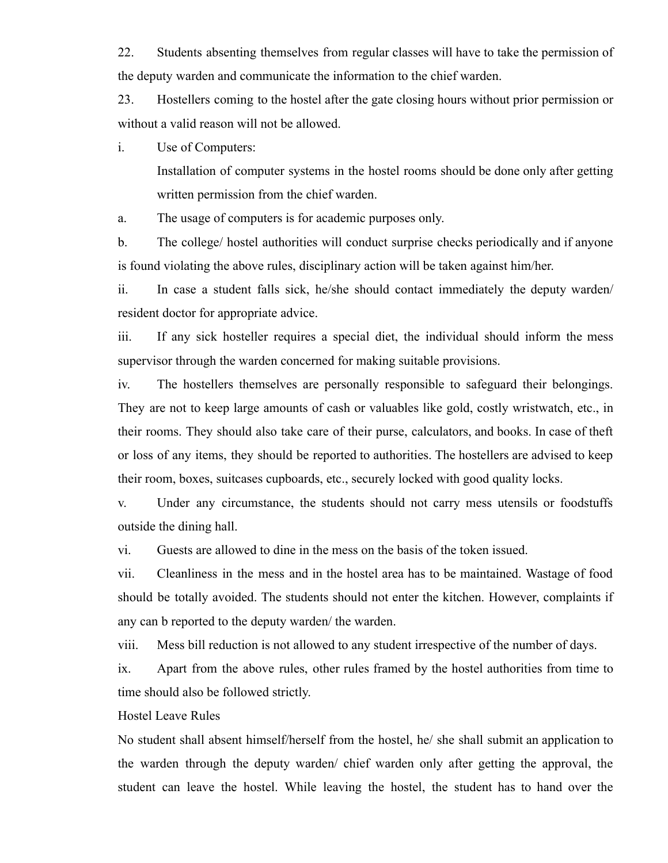22. Students absenting themselves from regular classes will have to take the permission of the deputy warden and communicate the information to the chief warden.

23. Hostellers coming to the hostel after the gate closing hours without prior permission or without a valid reason will not be allowed.

i. Use of Computers:

Installation of computer systems in the hostel rooms should be done only after getting written permission from the chief warden.

a. The usage of computers is for academic purposes only.

b. The college/ hostel authorities will conduct surprise checks periodically and if anyone is found violating the above rules, disciplinary action will be taken against him/her.

ii. In case a student falls sick, he/she should contact immediately the deputy warden/ resident doctor for appropriate advice.

iii. If any sick hosteller requires a special diet, the individual should inform the mess supervisor through the warden concerned for making suitable provisions.

iv. The hostellers themselves are personally responsible to safeguard their belongings. They are not to keep large amounts of cash or valuables like gold, costly wristwatch, etc., in their rooms. They should also take care of their purse, calculators, and books. In case of theft or loss of any items, they should be reported to authorities. The hostellers are advised to keep their room, boxes, suitcases cupboards, etc., securely locked with good quality locks.

v. Under any circumstance, the students should not carry mess utensils or foodstuffs outside the dining hall.

vi. Guests are allowed to dine in the mess on the basis of the token issued.

vii. Cleanliness in the mess and in the hostel area has to be maintained. Wastage of food should be totally avoided. The students should not enter the kitchen. However, complaints if any can b reported to the deputy warden/ the warden.

viii. Mess bill reduction is not allowed to any student irrespective of the number of days.

ix. Apart from the above rules, other rules framed by the hostel authorities from time to time should also be followed strictly.

Hostel Leave Rules

No student shall absent himself/herself from the hostel, he/ she shall submit an application to the warden through the deputy warden/ chief warden only after getting the approval, the student can leave the hostel. While leaving the hostel, the student has to hand over the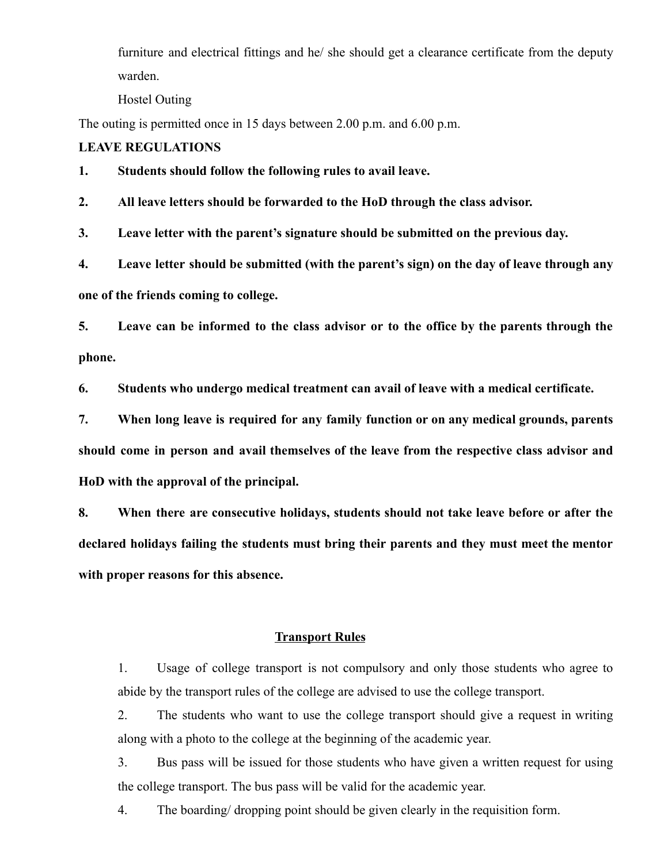furniture and electrical fittings and he/ she should get a clearance certificate from the deputy warden.

Hostel Outing

The outing is permitted once in 15 days between 2.00 p.m. and 6.00 p.m.

## **LEAVE REGULATIONS**

**1. Students should follow the following rules to avail leave.**

**2. All leave letters should be forwarded to the HoD through the class advisor.**

**3. Leave letter with the parent's signature should be submitted on the previous day.**

**4. Leave letter should be submitted (with the parent's sign) on the day of leave through any one of the friends coming to college.**

**5. Leave can be informed to the class advisor or to the office by the parents through the phone.**

**6. Students who undergo medical treatment can avail of leave with a medical certificate.**

**7. When long leave is required for any family function or on any medical grounds, parents should come in person and avail themselves of the leave from the respective class advisor and HoD with the approval of the principal.**

**8. When there are consecutive holidays, students should not take leave before or after the declared holidays failing the students must bring their parents and they must meet the mentor with proper reasons for this absence.**

## **Transport Rules**

1. Usage of college transport is not compulsory and only those students who agree to abide by the transport rules of the college are advised to use the college transport.

2. The students who want to use the college transport should give a request in writing along with a photo to the college at the beginning of the academic year.

3. Bus pass will be issued for those students who have given a written request for using the college transport. The bus pass will be valid for the academic year.

4. The boarding/ dropping point should be given clearly in the requisition form.